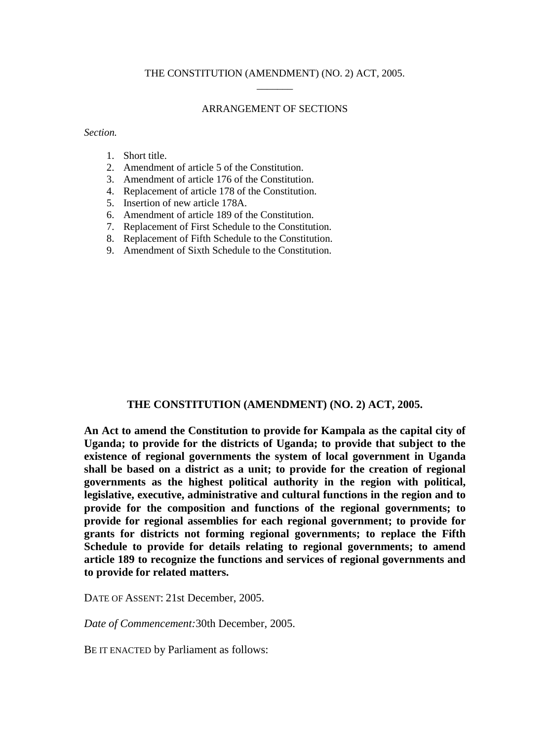### ARRANGEMENT OF SECTIONS

*Section.*

- 1. Short title.
- 2. Amendment of article 5 of the Constitution.
- 3. Amendment of article 176 of the Constitution.
- 4. Replacement of article 178 of the Constitution.
- 5. Insertion of new article 178A.
- 6. Amendment of article 189 of the Constitution.
- 7. Replacement of First Schedule to the Constitution.
- 8. Replacement of Fifth Schedule to the Constitution.
- 9. Amendment of Sixth Schedule to the Constitution.

#### **THE CONSTITUTION (AMENDMENT) (NO. 2) ACT, 2005.**

**An Act to amend the Constitution to provide for Kampala as the capital city of Uganda; to provide for the districts of Uganda; to provide that subject to the existence of regional governments the system of local government in Uganda shall be based on a district as a unit; to provide for the creation of regional governments as the highest political authority in the region with political, legislative, executive, administrative and cultural functions in the region and to provide for the composition and functions of the regional governments; to provide for regional assemblies for each regional government; to provide for grants for districts not forming regional governments; to replace the Fifth Schedule to provide for details relating to regional governments; to amend article 189 to recognize the functions and services of regional governments and to provide for related matters.**

DATE OF ASSENT: 21st December, 2005.

*Date of Commencement:*30th December, 2005.

BE IT ENACTED by Parliament as follows: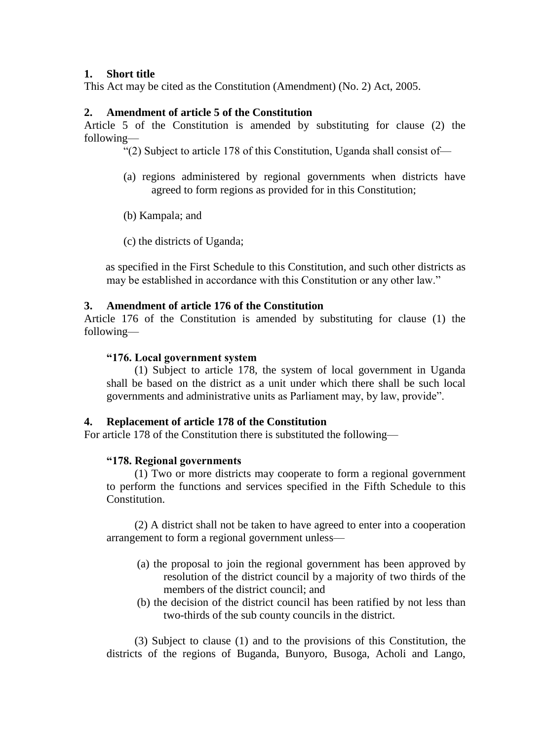## **1. Short title**

This Act may be cited as the Constitution (Amendment) (No. 2) Act, 2005.

## **2. Amendment of article 5 of the Constitution**

Article 5 of the Constitution is amended by substituting for clause (2) the following—

"(2) Subject to article 178 of this Constitution, Uganda shall consist of—

- (a) regions administered by regional governments when districts have agreed to form regions as provided for in this Constitution;
- (b) Kampala; and
- (c) the districts of Uganda;

as specified in the First Schedule to this Constitution, and such other districts as may be established in accordance with this Constitution or any other law."

### **3. Amendment of article 176 of the Constitution**

Article 176 of the Constitution is amended by substituting for clause (1) the following—

### **"176.Localgovernmentsystem**

(1) Subject to article 178, the system of local government in Uganda shall be based on the district as a unit under which there shall be such local governments and administrative units as Parliament may, by law, provide".

## **4. Replacement of article 178 of the Constitution**

For article 178 of the Constitution there is substituted the following—

### **"178.Regionalgovernments**

(1) Two or more districts may cooperate to form a regional government to perform the functions and services specified in the Fifth Schedule to this Constitution.

(2) A district shall not be taken to have agreed to enter into a cooperation arrangement to form a regional government unless—

- (a) the proposal to join the regional government has been approved by resolution of the district council by a majority of two thirds of the members of the district council; and
- (b) the decision of the district council has been ratified by not less than two-thirds of the sub county councils in the district.

(3) Subject to clause (1) and to the provisions of this Constitution, the districts of the regions of Buganda, Bunyoro, Busoga, Acholi and Lango,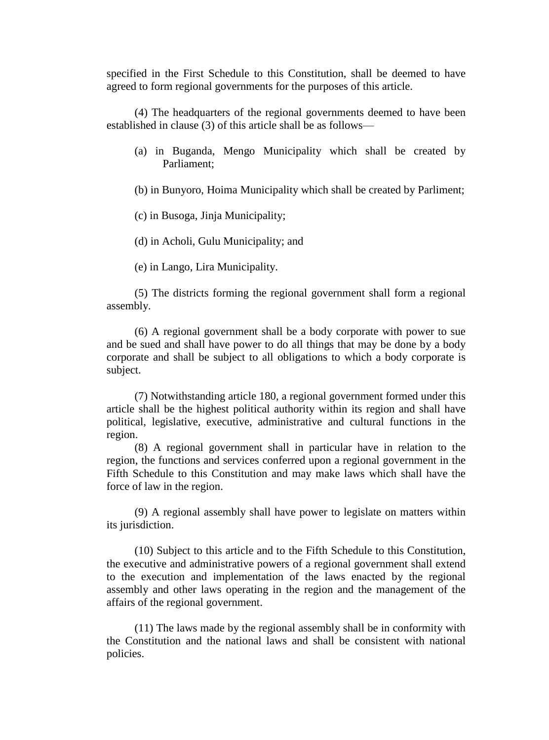specified in the First Schedule to this Constitution, shall be deemed to have agreed to form regional governments for the purposes of this article.

(4) The headquarters of the regional governments deemed to have been established in clause (3) of this article shall be as follows—

- (a) in Buganda, Mengo Municipality which shall be created by Parliament;
- (b) in Bunyoro, Hoima Municipality which shall be created by Parliment;
- (c) in Busoga, Jinja Municipality;
- (d) in Acholi, Gulu Municipality; and
- (e) in Lango, Lira Municipality.

(5) The districts forming the regional government shall form a regional assembly.

(6) A regional government shall be a body corporate with power to sue and be sued and shall have power to do all things that may be done by a body corporate and shall be subject to all obligations to which a body corporate is subject.

(7) Notwithstanding article 180, a regional government formed under this article shall be the highest political authority within its region and shall have political, legislative, executive, administrative and cultural functions in the region.

(8) A regional government shall in particular have in relation to the region, the functions and services conferred upon a regional government in the Fifth Schedule to this Constitution and may make laws which shall have the force of law in the region.

(9) A regional assembly shall have power to legislate on matters within its jurisdiction.

(10) Subject to this article and to the Fifth Schedule to this Constitution, the executive and administrative powers of a regional government shall extend to the execution and implementation of the laws enacted by the regional assembly and other laws operating in the region and the management of the affairs of the regional government.

(11) The laws made by the regional assembly shall be in conformity with the Constitution and the national laws and shall be consistent with national policies.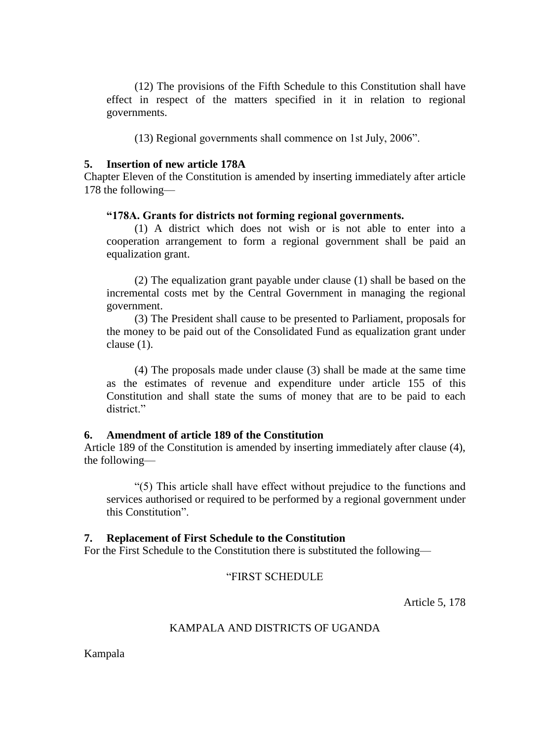(12) The provisions of the Fifth Schedule to this Constitution shall have effect in respect of the matters specified in it in relation to regional governments.

(13) Regional governments shall commence on 1st July, 2006".

### **5. Insertion of new article 178A**

Chapter Eleven of the Constitution is amended by inserting immediately after article 178 the following—

### "178A. Grants for districts not forming regional governments.

(1) A district which does not wish or is not able to enter into a cooperation arrangement to form a regional government shall be paid an equalization grant.

(2) The equalization grant payable under clause (1) shall be based on the incremental costs met by the Central Government in managing the regional government.

(3) The President shall cause to be presented to Parliament, proposals for the money to be paid out of the Consolidated Fund as equalization grant under clause (1).

(4) The proposals made under clause (3) shall be made at the same time as the estimates of revenue and expenditure under article 155 of this Constitution and shall state the sums of money that are to be paid to each district."

### **6. Amendment of article 189 of the Constitution**

Article 189 of the Constitution is amended by inserting immediately after clause (4), the following—

" $(5)$  This article shall have effect without prejudice to the functions and services authorised or required to be performed by a regional government under this Constitution".

### **7. Replacement of First Schedule to the Constitution**

For the First Schedule to the Constitution there is substituted the following—

## "FIRST SCHEDULE

Article 5, 178

## KAMPALA AND DISTRICTS OF UGANDA

Kampala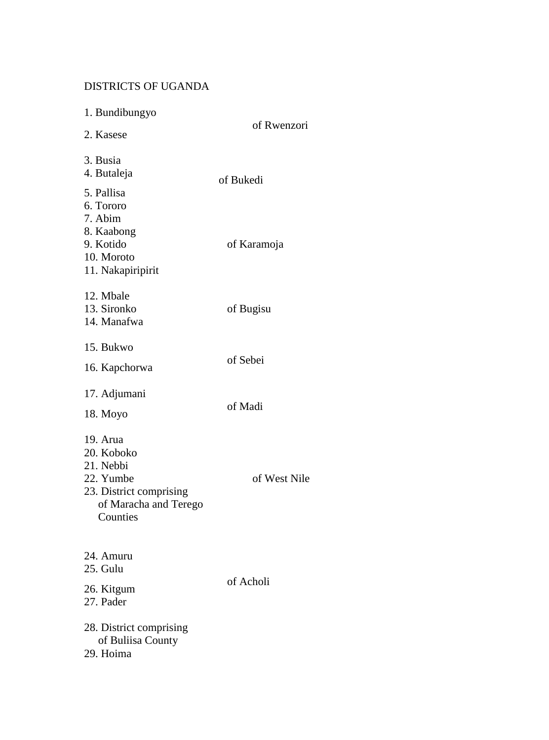# DISTRICTS OF UGANDA

| 1. Bundibungyo<br>2. Kasese                                                                                      | of Rwenzori  |
|------------------------------------------------------------------------------------------------------------------|--------------|
| 3. Busia<br>4. Butaleja<br>5. Pallisa                                                                            | of Bukedi    |
| 6. Tororo<br>7. Abim<br>8. Kaabong<br>9. Kotido<br>10. Moroto<br>11. Nakapiripirit                               | of Karamoja  |
| 12. Mbale<br>13. Sironko<br>14. Manafwa                                                                          | of Bugisu    |
| 15. Bukwo<br>16. Kapchorwa                                                                                       | of Sebei     |
| 17. Adjumani<br>18. Moyo                                                                                         | of Madi      |
| 19. Arua<br>20. Koboko<br>21. Nebbi<br>22. Yumbe<br>23. District comprising<br>of Maracha and Terego<br>Counties | of West Nile |
| 24. Amuru<br>25. Gulu<br>26. Kitgum<br>27. Pader<br>28. District comprising                                      | of Acholi    |
| of Buliisa County<br>29. Hoima                                                                                   |              |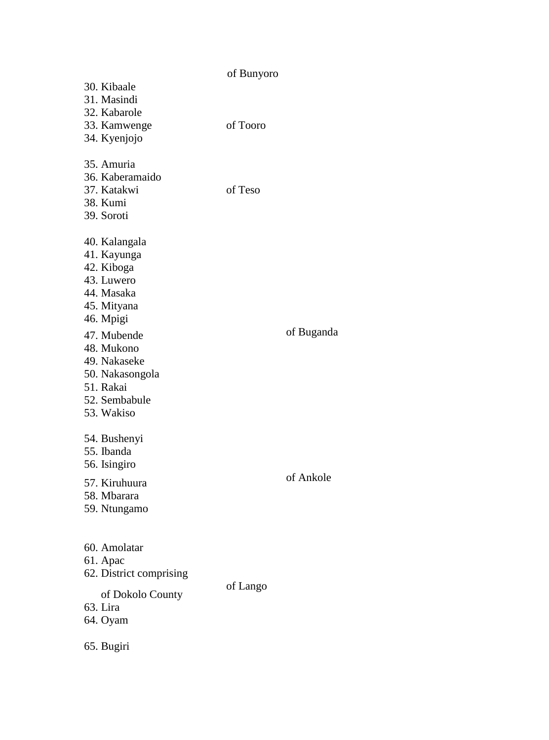| 30. Kibaale<br>31. Masindi                                                                               | of Bunyoro |            |
|----------------------------------------------------------------------------------------------------------|------------|------------|
| 32. Kabarole<br>33. Kamwenge<br>34. Kyenjojo                                                             | of Tooro   |            |
| 35. Amuria<br>36. Kaberamaido<br>37. Katakwi<br>38. Kumi<br>39. Soroti                                   | of Teso    |            |
| 40. Kalangala<br>41. Kayunga<br>42. Kiboga<br>43. Luwero<br>44. Masaka<br>45. Mityana<br>46. Mpigi       |            |            |
| 47. Mubende<br>48. Mukono<br>49. Nakaseke<br>50. Nakasongola<br>51. Rakai<br>52. Sembabule<br>53. Wakiso |            | of Buganda |
| 54. Bushenyi<br>55. Ibanda<br>56. Isingiro<br>57. Kiruhuura<br>58. Mbarara<br>59. Ntungamo               |            | of Ankole  |
| 60. Amolatar<br>61. Apac<br>62. District comprising<br>of Dokolo County<br>63. Lira<br>64. Oyam          | of Lango   |            |
| 65. Bugiri                                                                                               |            |            |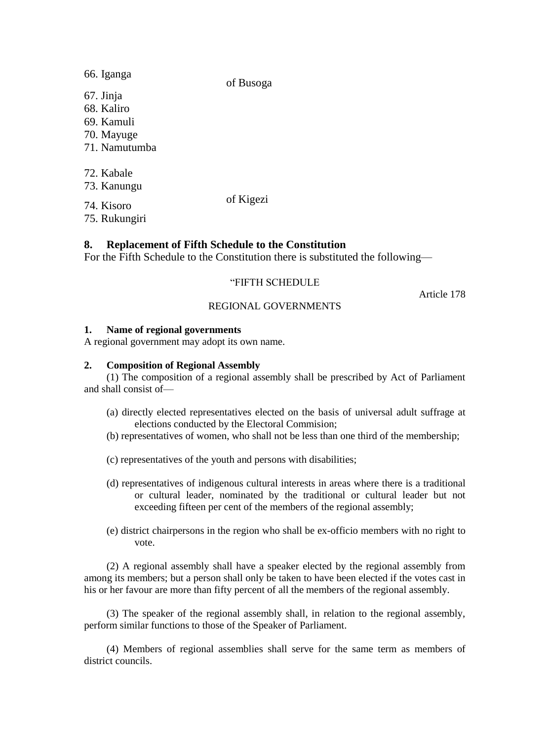66. Iganga 67. Jinja 68. Kaliro 69. Kamuli 70. Mayuge 71. Namutumba 72. Kabale 73. Kanungu 74. Kisoro of Kigezi

of Busoga

75. Rukungiri

# **8. Replacement of Fifth Schedule to the Constitution**

For the Fifth Schedule to the Constitution there is substituted the following—

## "FIFTH SCHEDULE

Article 178

## REGIONAL GOVERNMENTS

## **1. Name of regional governments**

A regional government may adopt its own name.

## **2. Composition of Regional Assembly**

(1) The composition of a regional assembly shall be prescribed by Act of Parliament and shall consist of—

- (a) directly elected representatives elected on the basis of universal adult suffrage at elections conducted by the Electoral Commision;
- (b) representatives of women, who shall not be less than one third of the membership;
- (c) representatives of the youth and persons with disabilities;
- (d) representatives of indigenous cultural interests in areas where there is a traditional or cultural leader, nominated by the traditional or cultural leader but not exceeding fifteen per cent of the members of the regional assembly;
- (e) district chairpersons in the region who shall be ex-officio members with no right to vote.

(2) A regional assembly shall have a speaker elected by the regional assembly from among its members; but a person shall only be taken to have been elected if the votes cast in his or her favour are more than fifty percent of all the members of the regional assembly.

(3) The speaker of the regional assembly shall, in relation to the regional assembly, perform similar functions to those of the Speaker of Parliament.

(4) Members of regional assemblies shall serve for the same term as members of district councils.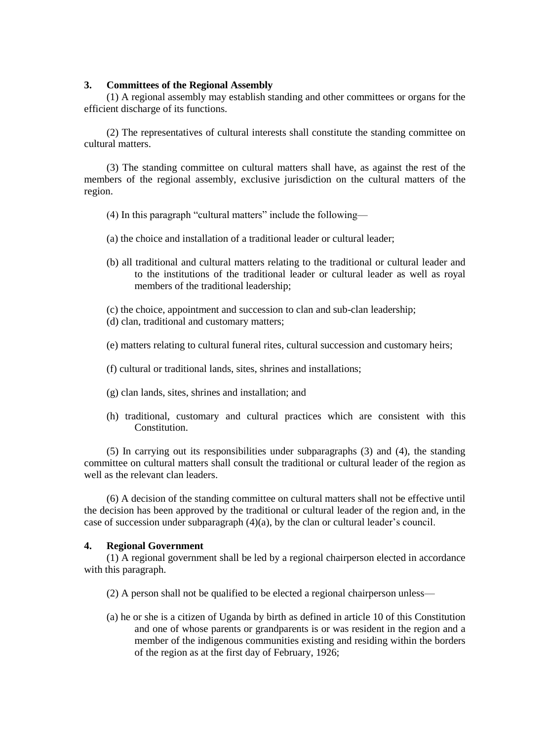#### **3. Committees of the Regional Assembly**

(1) A regional assembly may establish standing and other committees or organs for the efficient discharge of its functions.

(2) The representatives of cultural interests shall constitute the standing committee on cultural matters.

(3) The standing committee on cultural matters shall have, as against the rest of the members of the regional assembly, exclusive jurisdiction on the cultural matters of the region.

- (4) In this paragraph "cultural matters" include the following—
- (a) the choice and installation of a traditional leader or cultural leader;
- (b) all traditional and cultural matters relating to the traditional or cultural leader and to the institutions of the traditional leader or cultural leader as well as royal members of the traditional leadership;
- (c) the choice, appointment and succession to clan and sub-clan leadership;
- (d) clan, traditional and customary matters;
- (e) matters relating to cultural funeral rites, cultural succession and customary heirs;
- (f) cultural or traditional lands, sites, shrines and installations;
- (g) clan lands, sites, shrines and installation; and
- (h) traditional, customary and cultural practices which are consistent with this Constitution.

(5) In carrying out its responsibilities under subparagraphs (3) and (4), the standing committee on cultural matters shall consult the traditional or cultural leader of the region as well as the relevant clan leaders.

(6) A decision of the standing committee on cultural matters shall not be effective until the decision has been approved by the traditional or cultural leader of the region and, in the case of succession under subparagraph  $(4)(a)$ , by the clan or cultural leader's council.

#### **4. Regional Government**

(1) A regional government shall be led by a regional chairperson elected in accordance with this paragraph.

- (2) A person shall not be qualified to be elected a regional chairperson unless—
- (a) he or she is a citizen of Uganda by birth as defined in article 10 of this Constitution and one of whose parents or grandparents is or was resident in the region and a member of the indigenous communities existing and residing within the borders of the region as at the first day of February, 1926;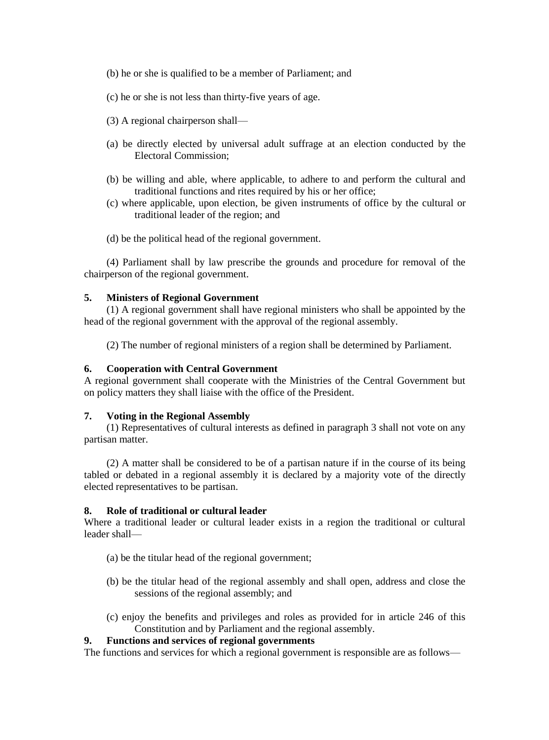- (b) he or she is qualified to be a member of Parliament; and
- (c) he or she is not less than thirty-five years of age.
- (3) A regional chairperson shall—
- (a) be directly elected by universal adult suffrage at an election conducted by the Electoral Commission;
- (b) be willing and able, where applicable, to adhere to and perform the cultural and traditional functions and rites required by his or her office;
- (c) where applicable, upon election, be given instruments of office by the cultural or traditional leader of the region; and
- (d) be the political head of the regional government.

(4) Parliament shall by law prescribe the grounds and procedure for removal of the chairperson of the regional government.

### **5. Ministers of Regional Government**

(1) A regional government shall have regional ministers who shall be appointed by the head of the regional government with the approval of the regional assembly.

(2) The number of regional ministers of a region shall be determined by Parliament.

#### **6. Cooperation with Central Government**

A regional government shall cooperate with the Ministries of the Central Government but on policy matters they shall liaise with the office of the President.

#### **7. Voting in the Regional Assembly**

(1) Representatives of cultural interests as defined in paragraph 3 shall not vote on any partisan matter.

(2) A matter shall be considered to be of a partisan nature if in the course of its being tabled or debated in a regional assembly it is declared by a majority vote of the directly elected representatives to be partisan.

#### **8. Role of traditional or cultural leader**

Where a traditional leader or cultural leader exists in a region the traditional or cultural leader shall—

- (a) be the titular head of the regional government;
- (b) be the titular head of the regional assembly and shall open, address and close the sessions of the regional assembly; and
- (c) enjoy the benefits and privileges and roles as provided for in article 246 of this Constitution and by Parliament and the regional assembly.

### **9. Functions and services of regional governments**

The functions and services for which a regional government is responsible are as follows—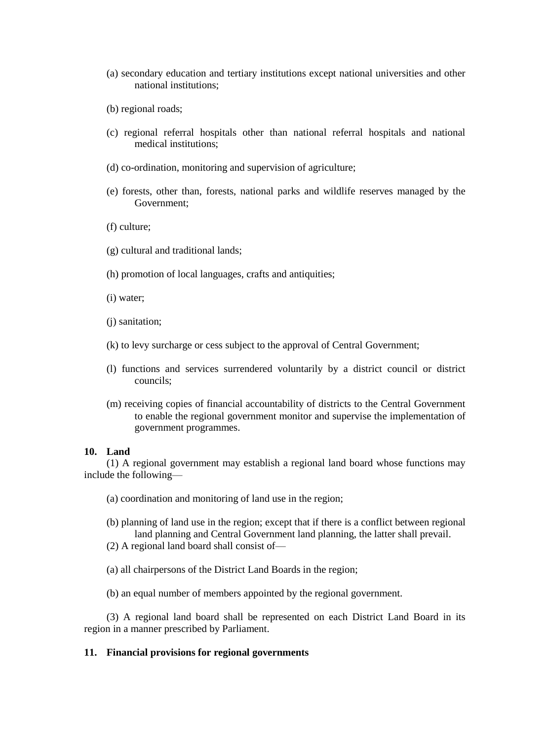- (a) secondary education and tertiary institutions except national universities and other national institutions;
- (b) regional roads;
- (c) regional referral hospitals other than national referral hospitals and national medical institutions;
- (d) co-ordination, monitoring and supervision of agriculture;
- (e) forests, other than, forests, national parks and wildlife reserves managed by the Government;
- (f) culture;
- (g) cultural and traditional lands;
- (h) promotion of local languages, crafts and antiquities;
- (i) water;
- (j) sanitation;
- (k) to levy surcharge or cess subject to the approval of Central Government;
- (l) functions and services surrendered voluntarily by a district council or district councils;
- (m) receiving copies of financial accountability of districts to the Central Government to enable the regional government monitor and supervise the implementation of government programmes.

#### **10. Land**

(1) A regional government may establish a regional land board whose functions may include the following—

- (a) coordination and monitoring of land use in the region;
- (b) planning of land use in the region; except that if there is a conflict between regional land planning and Central Government land planning, the latter shall prevail.
- (2) A regional land board shall consist of—
- (a) all chairpersons of the District Land Boards in the region;
- (b) an equal number of members appointed by the regional government.

(3) A regional land board shall be represented on each District Land Board in its region in a manner prescribed by Parliament.

### **11. Financial provisions for regional governments**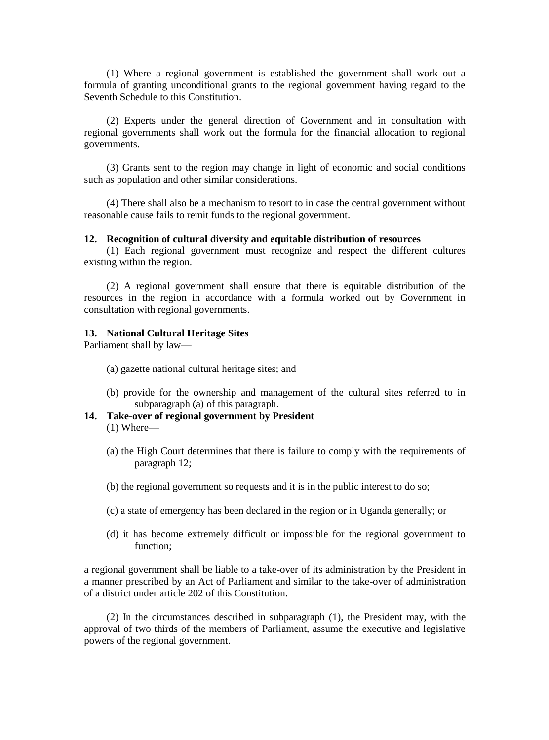(1) Where a regional government is established the government shall work out a formula of granting unconditional grants to the regional government having regard to the Seventh Schedule to this Constitution.

(2) Experts under the general direction of Government and in consultation with regional governments shall work out the formula for the financial allocation to regional governments.

(3) Grants sent to the region may change in light of economic and social conditions such as population and other similar considerations.

(4) There shall also be a mechanism to resort to in case the central government without reasonable cause fails to remit funds to the regional government.

#### **12. Recognition of cultural diversity and equitable distribution of resources**

(1) Each regional government must recognize and respect the different cultures existing within the region.

(2) A regional government shall ensure that there is equitable distribution of the resources in the region in accordance with a formula worked out by Government in consultation with regional governments.

### **13. National Cultural Heritage Sites**

Parliament shall by law—

- (a) gazette national cultural heritage sites; and
- (b) provide for the ownership and management of the cultural sites referred to in subparagraph (a) of this paragraph.
- **14. Take-over of regional government by President** (1) Where—
	- (a) the High Court determines that there is failure to comply with the requirements of paragraph 12;
	- (b) the regional government so requests and it is in the public interest to do so;
	- (c) a state of emergency has been declared in the region or in Uganda generally; or
	- (d) it has become extremely difficult or impossible for the regional government to function;

a regional government shall be liable to a take-over of its administration by the President in a manner prescribed by an Act of Parliament and similar to the take-over of administration of a district under article 202 of this Constitution.

(2) In the circumstances described in subparagraph (1), the President may, with the approval of two thirds of the members of Parliament, assume the executive and legislative powers of the regional government.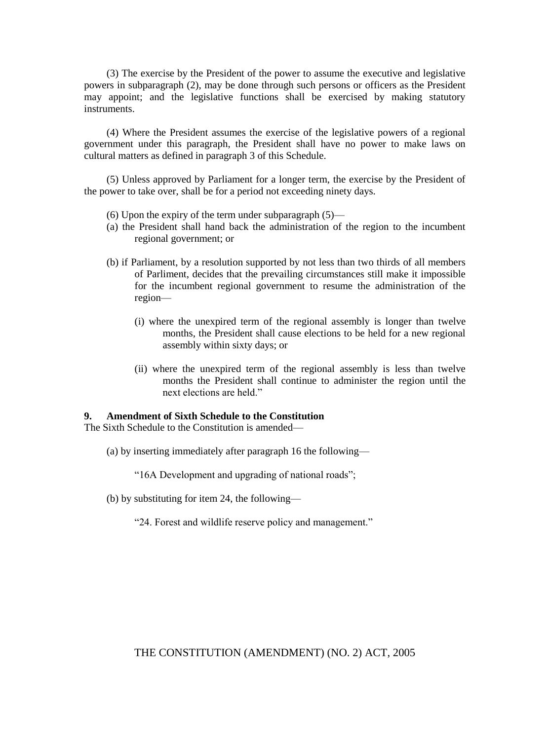(3) The exercise by the President of the power to assume the executive and legislative powers in subparagraph (2), may be done through such persons or officers as the President may appoint; and the legislative functions shall be exercised by making statutory instruments.

(4) Where the President assumes the exercise of the legislative powers of a regional government under this paragraph, the President shall have no power to make laws on cultural matters as defined in paragraph 3 of this Schedule.

(5) Unless approved by Parliament for a longer term, the exercise by the President of the power to take over, shall be for a period not exceeding ninety days.

- (6) Upon the expiry of the term under subparagraph (5)—
- (a) the President shall hand back the administration of the region to the incumbent regional government; or
- (b) if Parliament, by a resolution supported by not less than two thirds of all members of Parliment, decides that the prevailing circumstances still make it impossible for the incumbent regional government to resume the administration of the region—
	- (i) where the unexpired term of the regional assembly is longer than twelve months, the President shall cause elections to be held for a new regional assembly within sixty days; or
	- (ii) where the unexpired term of the regional assembly is less than twelve months the President shall continue to administer the region until the next elections are held."

### **9. Amendment of Sixth Schedule to the Constitution**

The Sixth Schedule to the Constitution is amended—

(a) by inserting immediately after paragraph 16 the following—

"16A Development and upgrading of national roads";

- (b) by substituting for item 24, the following—
	- "24. Forest and wildlife reserve policy and management."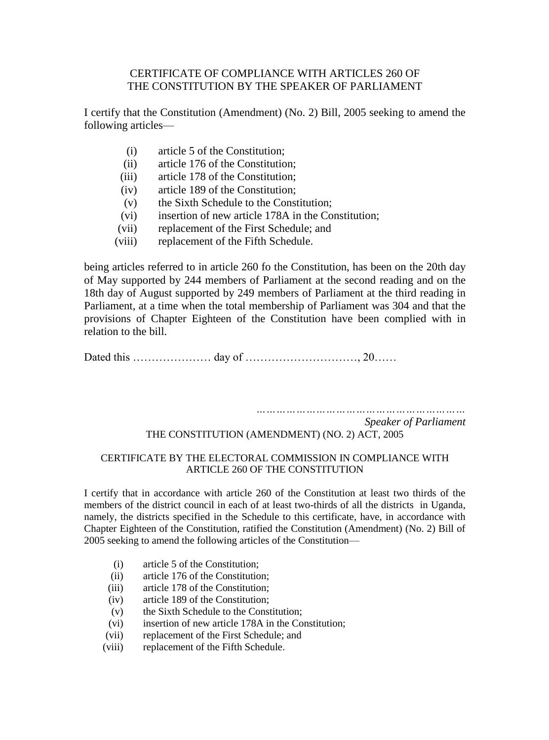## CERTIFICATE OF COMPLIANCE WITH ARTICLES 260 OF THE CONSTITUTION BY THE SPEAKER OF PARLIAMENT

I certify that the Constitution (Amendment) (No. 2) Bill, 2005 seeking to amend the following articles—

- (i) article 5 of the Constitution;
- (ii) article 176 of the Constitution;
- (iii) article 178 of the Constitution;
- (iv) article 189 of the Constitution;
- (v) the Sixth Schedule to the Constitution;
- (vi) insertion of new article 178A in the Constitution;
- (vii) replacement of the First Schedule; and
- (viii) replacement of the Fifth Schedule.

being articles referred to in article 260 fo the Constitution, has been on the 20th day of May supported by 244 members of Parliament at the second reading and on the 18th day of August supported by 249 members of Parliament at the third reading in Parliament, at a time when the total membership of Parliament was 304 and that the provisions of Chapter Eighteen of the Constitution have been complied with in relation to the bill.

Datedthis………………… dayof…………………………,20……

*………………………………………………………*

*Speaker of Parliament*

## THE CONSTITUTION (AMENDMENT) (NO. 2) ACT, 2005

### CERTIFICATE BY THE ELECTORAL COMMISSION IN COMPLIANCE WITH ARTICLE 260 OF THE CONSTITUTION

I certify that in accordance with article 260 of the Constitution at least two thirds of the members of the district council in each of at least two-thirds of all the districts in Uganda, namely, the districts specified in the Schedule to this certificate, have, in accordance with Chapter Eighteen of the Constitution, ratified the Constitution (Amendment) (No. 2) Bill of 2005 seeking to amend the following articles of the Constitution—

- (i) article 5 of the Constitution;
- (ii) article 176 of the Constitution;
- (iii) article 178 of the Constitution;
- (iv) article 189 of the Constitution;
- (v) the Sixth Schedule to the Constitution;
- (vi) insertion of new article 178A in the Constitution;
- (vii) replacement of the First Schedule; and
- (viii) replacement of the Fifth Schedule.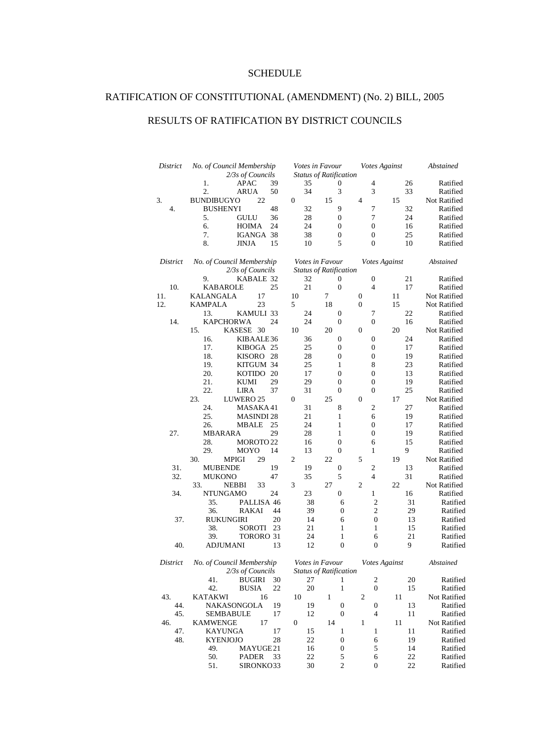## SCHEDULE

## RATIFICATION OF CONSTITUTIONAL (AMENDMENT) (No. 2) BILL, 2005

## RESULTS OF RATIFICATION BY DISTRICT COUNCILS

| District | No. of Council Membership<br>Votes Against<br>Votes in Favour<br>2/3s of Councils<br><b>Status of Ratification</b> |                  |                                                  |                  | Abstained |              |
|----------|--------------------------------------------------------------------------------------------------------------------|------------------|--------------------------------------------------|------------------|-----------|--------------|
|          | APAC<br>1.<br>39                                                                                                   | 35               | 0                                                | 4                | 26        | Ratified     |
|          | 2.<br>ARUA<br>50                                                                                                   | 34               | 3                                                | 3                | 33        | Ratified     |
| 3.       | 22<br><b>BUNDIBUGYO</b>                                                                                            | 0                | 15                                               | 4                | 15        | Not Ratified |
| 4.       | 48<br><b>BUSHENYI</b>                                                                                              | 32               | 9                                                | 7                | 32        | Ratified     |
|          | 5.<br>GULU<br>36                                                                                                   | 28               | 0                                                | 7                | 24        | Ratified     |
|          | 6.<br>24<br><b>HOIMA</b>                                                                                           | 24               | 0                                                | $\boldsymbol{0}$ | 16        | Ratified     |
|          | 7.<br>IGANGA 38                                                                                                    | 38               | $\boldsymbol{0}$                                 | 0                | 25        | Ratified     |
|          | 8.<br>15<br>JINJA                                                                                                  | 10               | 5                                                | $\boldsymbol{0}$ | 10        | Ratified     |
|          |                                                                                                                    |                  |                                                  |                  |           |              |
| District | No. of Council Membership                                                                                          |                  | Votes in Favour                                  | Votes Against    |           | Abstained    |
|          | 2/3s of Councils                                                                                                   |                  | <b>Status of Ratification</b>                    |                  |           |              |
|          | 9.<br>KABALE 32                                                                                                    | 32               | 0                                                | 0                | 21        | Ratified     |
| 10.      | KABAROLE<br>25                                                                                                     | 21               | $\mathbf{0}$                                     | 4                | 17        | Ratified     |
| 11.      | KALANGALA<br>17                                                                                                    | 10               | 7                                                | $\boldsymbol{0}$ | 11        | Not Ratified |
| 12.      | <b>KAMPALA</b><br>23                                                                                               | 5                | 18                                               | $\boldsymbol{0}$ | 15        | Not Ratified |
|          | 13.<br>KAMULI 33                                                                                                   | 24               | $\boldsymbol{0}$                                 | 7                | 22        | Ratified     |
| 14.      | <b>KAPCHORWA</b><br>24                                                                                             | 24               | $\boldsymbol{0}$                                 | $\boldsymbol{0}$ | 16        | Ratified     |
|          | 15.<br>KASESE 30                                                                                                   | 10               | 20                                               | $\boldsymbol{0}$ | 20        | Not Ratified |
|          | 16.<br>KIBAALE36                                                                                                   | 36               | 0                                                | $\boldsymbol{0}$ | 24        | Ratified     |
|          | 17.<br>KIBOGA 25                                                                                                   | 25               | $\boldsymbol{0}$                                 | $\boldsymbol{0}$ | 17        | Ratified     |
|          | 18.<br>KISORO 28                                                                                                   | 28               | 0                                                | $\boldsymbol{0}$ | 19        | Ratified     |
|          | 19.<br>KITGUM 34                                                                                                   | 25               | 1                                                | 8                | 23        | Ratified     |
|          | 20.<br>KOTIDO 20                                                                                                   | 17               | $\boldsymbol{0}$                                 | $\boldsymbol{0}$ | 13        | Ratified     |
|          | 21.<br>29                                                                                                          |                  |                                                  |                  |           |              |
|          | <b>KUMI</b>                                                                                                        | 29               | 0                                                | 0                | 19        | Ratified     |
|          | 22.<br>37<br>LIRA                                                                                                  | 31               | $\boldsymbol{0}$                                 | $\overline{0}$   | 25        | Ratified     |
|          | 23.<br>LUWERO <sub>25</sub>                                                                                        | $\mathbf{0}$     | 25                                               | $\boldsymbol{0}$ | 17        | Not Ratified |
|          | MASAKA 41<br>24.                                                                                                   | 31               | 8                                                | 2                | 27        | Ratified     |
|          | 25.<br><b>MASINDI 28</b>                                                                                           | 21               | $\mathbf{1}$                                     | 6                | 19        | Ratified     |
|          | 26.<br>MBALE<br>25                                                                                                 | 24               | 1                                                | 0                | 17        | Ratified     |
| 27.      | 29<br><b>MBARARA</b>                                                                                               | 28               | $\mathbf{1}$                                     | $\boldsymbol{0}$ | 19        | Ratified     |
|          | 28.<br>MOROTO <sub>22</sub>                                                                                        | 16               | 0                                                | 6                | 15        | Ratified     |
|          | 29.<br>MOYO<br>14                                                                                                  | 13               | $\boldsymbol{0}$                                 | $\mathbf{1}$     | 9         | Ratified     |
|          | 30.<br><b>MPIGI</b><br>29                                                                                          | 2                | 22                                               | 5                | 19        | Not Ratified |
| 31.      | <b>MUBENDE</b><br>19                                                                                               | 19               | 0                                                | 2                | 13        | Ratified     |
| 32.      | <b>MUKONO</b><br>47                                                                                                | 35               | 5                                                | 4                | 31        | Ratified     |
|          | 33.<br><b>NEBBI</b><br>33                                                                                          | 3                | 27                                               | $\mathfrak{2}$   | 22        | Not Ratified |
| 34.      | 24<br><b>NTUNGAMO</b>                                                                                              | 23               | 0                                                | $\mathbf{1}$     | 16        | Ratified     |
|          | PALLISA 46<br>35.                                                                                                  | 38               | 6                                                | $\overline{2}$   | 31        | Ratified     |
|          | 36.<br><b>RAKAI</b><br>44                                                                                          | 39               | 0                                                | $\mathbf{2}$     | 29        | Ratified     |
| 37.      | <b>RUKUNGIRI</b><br>20                                                                                             | 14               | 6                                                | $\mathbf{0}$     | 13        | Ratified     |
|          | 38.<br><b>SOROTI</b><br>23                                                                                         | 21               | 1                                                | 1                | 15        | Ratified     |
|          | 39.<br><b>TORORO 31</b>                                                                                            | 24               | 1                                                | 6                | 21        | Ratified     |
| 40.      | ADJUMANI<br>13                                                                                                     | 12               | $\overline{0}$                                   | $\overline{0}$   | 9         | Ratified     |
|          |                                                                                                                    |                  |                                                  |                  |           |              |
| District | No. of Council Membership                                                                                          |                  |                                                  | Votes Against    |           |              |
|          | 2/3s of Councils                                                                                                   |                  | Votes in Favour<br><b>Status of Ratification</b> |                  |           | Abstained    |
|          | BUGIRI 30                                                                                                          |                  |                                                  | 2                |           | Ratified     |
|          | 41.                                                                                                                | 27               | 1.                                               |                  | $20\,$    |              |
|          | 42.<br><b>BUSIA</b><br>22                                                                                          | 20               | 1                                                | $\boldsymbol{0}$ | 15        | Ratified     |
| 43.      | <b>KATAKWI</b><br>16                                                                                               | 10               | $\mathbf{1}$                                     | 2                | 11        | Not Ratified |
| 44.      | NAKASONGOLA<br>19                                                                                                  | 19               | $\boldsymbol{0}$                                 | $\boldsymbol{0}$ | 13        | Ratified     |
| 45.      | 17<br><b>SEMBABULE</b>                                                                                             | 12               | $\boldsymbol{0}$                                 | $\overline{4}$   | 11        | Ratified     |
| 46.      | 17<br><b>KAMWENGE</b>                                                                                              | $\boldsymbol{0}$ | 14                                               | $\mathbf{1}$     | 11        | Not Ratified |
| 47.      | 17<br>KAYUNGA                                                                                                      | 15               | $\mathbf{1}$                                     | $\mathbf 1$      | 11        | Ratified     |
| 48.      | 28<br><b>KYENJOJO</b>                                                                                              | 22               | $\boldsymbol{0}$                                 | 6                | 19        | Ratified     |
|          | 49.<br>MAYUGE21                                                                                                    | 16               | $\boldsymbol{0}$                                 | $\sqrt{5}$       | 14        | Ratified     |
|          | 50.<br>33<br>PADER                                                                                                 | 22               | $\mathfrak s$                                    | 6                | 22        | Ratified     |
|          | 51.<br>SIRONKO33                                                                                                   | 30               | $\overline{c}$                                   | $\boldsymbol{0}$ | 22        | Ratified     |
|          |                                                                                                                    |                  |                                                  |                  |           |              |